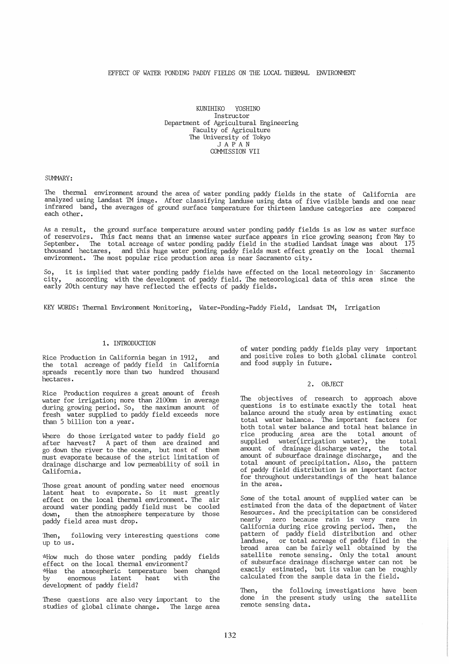## EFFECT OF WATER PONDING PADDY FIELDS ON THE LOCAL THERMAL ENVIRONMENT

KUNIHIKO YOSHINO Instructor Department of Agricultural Engineering Faculty of Agriculture The University of Tokyo JAPAN COMMISSION VII

#### SUMMARY:

The thermal environment around the area of water ponding paddy fields in the state of California are analyzed using Landsat TM image. After classifying landuse using data of five visible bands and one near infrared band, the averages of ground surface temperature for thirteen landuse categories are compared each other.

As a result, the ground surface temperature around water ponding paddy fields is as low as water surface of reservoirs. This fact means that an immense water surface appears in rice growing season; from May to September. The total acreage of water ponding paddy field in the studied Landsat image was about 175 thousand hectares, and this huge water ponding paddy fields must effect greatly on the local thermal environment. The most popular rice production area is near Sacramento city.

So, it is implied that water ponding paddy fields have effected on the local meteorology in" Sacramento city, according with the development of paddy field. The meteorological data of this area since the early 20th century may have reflected the effects of paddy fields.

KEY WORDS: Thermal Environment Monitoring, Water-Ponding-Paddy Field, Landsat TM, Irrigation

#### 1. INTRODUCTION

Rice Production in California began in 1912, and the total acreage of paddy field in California spreads recently more than two hundred thousand hectares.

Rice Production requires a great amount of fresh water for irrigation; more than 2100mm in average during growing period. So, the maximum amount of fresh water supplied to paddy field exceeds more than 5 billion ton a year.

Where do those irrigated water to paddy field go after harvest? A part of them are drained and go down the river to the ocean, but most of them must evaporate because of the strict limitation of drainage discharge and low permeability of soil in California.

Those great amount of ponding water need enormous<br>latent heat to evaporate. So it must greatly<br>effect on the local thermal environment. The air effect on the local thermal environment. The air<br>around water ponding paddy field must be cooled around water ponding paddy field must be cooled<br>down. then the atmosphere temperature by those then the atmosphere temperature by those paddy field area must drop.

Then, following very interesting questions come up to us.

~"How much do those water ponding paddy fields effect on the local thermal environment? ~'(Has the atmospheric temperature been by enormous latent heat with development of paddy field? changed the

These questions are also very important to the studies of global climate change. The large area studies of global climate change.

of water ponding paddy fields play very important and positive roles to both global climate control and food supply in future.

#### 2. OBJECT

The objectives of research to approach above questions is to estimate exactly the total heat balance around the study area by estimating exact total water balance. The important factors for both total water balance and total heat balance in rice producing area are the total amount of supplied water(irrigation water), the total amount of drainage discharge water, the total amount of subsurface drainage discharge, and the total amount of precipitation. Also, the pattern of paddy field distribution is an important factor for throughout understandings of the heat balance in the area.

Some of the total amount of supplied water can be estimated from the data of the department of Water Resources. And the precipitation can be considered nearly zero because rain is very rare in California during rice growing period. Then, the pattern of paddy field distribution and other landuse, or total acreage of paddy filed in the broad area can be fairly well obtained by the satellite remote sensing. Only the total amount of subsurface drainage discharge water can not be exactly estimated, but its value can be roughly calculated from the sample data in the field.

Then, the following investigations have been done in the present study using the satellite remote sensing data.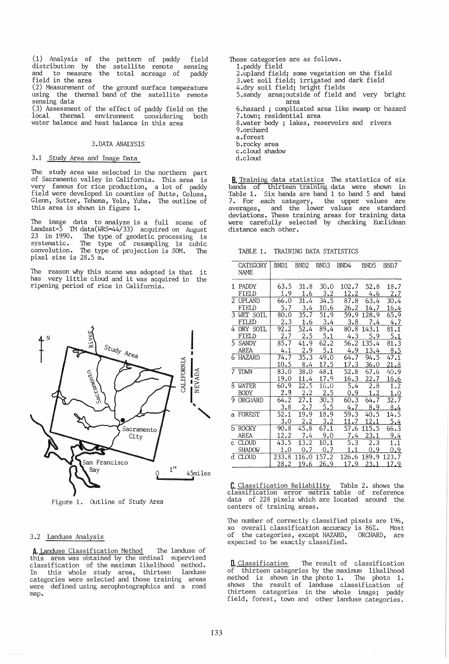(1) Analysis of the pattern of paddy field distribution by the satellite remote sensing and to measure the total acreage of paddy<br>field in the area

(2) Measurement of the ground surface temperature using the thermal band of the satellite remote sensing data

(3) Assessment of the effect of paddy field on the local thermal environment considering both local thermal environment considering<br>water balance and heat balance in this area

#### 3.DATA ANALYSIS

## 3.1 Study Area and Image Data

The study area was selected in the northern part of Sacramento valley in California. This area is very famous for rice production, a lot of paddy field were developed in counties of Butte, Colusa, Glenn, Sutter, Tehema, Yolo, Yuba. The outline of this area is shown in figure 1.

The image data to analyze is a full scene of Landsat-5 TM data(WRS=44/33) acquired on August 23 in 1990. The type of geodetic processing is systematic. The type of resampling is cubic systematic. The type of resampling is cubic convolution. The type of projection is SOM. The pixel size is 28.5 m.

The reason why this scene was adopted is that it has very little cloud and it was acquired in the ripening period of rice in California.



Figure 1. Outline of Study Area

#### 3.2 Landuse Analysis

A. Landuse Classification Method The landuse of this area was obtained by the ordinal supervised classification of the maximum likelihood method. In this whole study area, thirteen landuse categories were selected and those training areas were defined using aerophotographics and a road map.

Those categories are as follows. 1.paddy field 2.upland field; some vegetation on the field 3.wet soil field; irrigated and dark field 4.dry soil field; bright fields 5.sandy area;outside of field and very bright<br>area<br>6.hazard ; complicated area like swamp or hazard<br>7.town; residential area 7. town; reservoirs and rivers 9.orchard a.forest c.cloud shadow

- 
- d.cloud

B. Training data statistics The statistics of six bands of thirteen training data were shown in Table 1. Six bands are band 1 to band 5 and band 7. For each category, the upper values are averages, and the lower values are standard deviations. These training areas for training data were carefully selected by checking Euclidean distance each other.

TABLE 1. TRAINING DATA STATISTICS

|             | CATEGORY<br>NAME | BND1          | BND <sub>2</sub>     | BND.3                | BND4          | BND5          | BND7          |
|-------------|------------------|---------------|----------------------|----------------------|---------------|---------------|---------------|
|             | 1 PADDY          | 63.5          | 31.8                 | 30.0                 | 102.7         | 52.8          | 18.7          |
|             | FIELD            | 1.9           | 1.6                  | 3.2                  | 12.2          | 4.6           | 2.7           |
| $2^{\circ}$ | <b>UPLAND</b>    | 66.0          | 31.4                 | 34.5                 | 87.8          | 63.4          | 30.4          |
|             | FIELD            | 5.7           | 3.4                  | 10.6                 | 26.2          | 14.7          | 16.4          |
|             | 3 WET SOIL       | 80.0          | 35.7                 | 51.9                 | 59.9          | 128.9         | 65.9          |
|             | FTI FD           | 2.3           | 1.6                  | 3.4                  | 3.8           | 7.4           | 4.7           |
|             | 4 DRY SOIL       | 92.2          | $\overline{52.4}$    | 89.4                 | 80.8          | 143.1         | 81.1          |
|             | FIELD            | 2.7           | 2.5                  | 5.1                  | 4.3           | 5.9           | 5.1           |
|             | 5 SANDY          | 85.7          | 41.9                 | 62.2                 | 56.2          | 135.4         | 81.3          |
|             | <b>AREA</b>      | 4.1           | 2.9                  | 5.1                  | 4.9           | 13.4          | 8.5           |
|             | 6 HAZARD         | 74.7<br>10.5  | 35.3<br>8.4          | 49.0<br>17.5         | 64.7<br>17.3  | 94.5<br>36.0  | 47.1<br>21.8  |
|             | 7 TOWN           | 83.0<br>19.0  | 38.0<br>11.4         | 48.1<br>17.9         | 52.8<br>16.3  | 67.6<br>22.7  | 40.9<br>16.6  |
| 8.          | <b>WATER</b>     | 60.9          | 22.5                 | 16.0                 | 5.4           | 2.8           | 1.2           |
|             | <b>BODY</b>      | 2.9           | 2.2                  | 2.5                  | 0.9           | 1.2           | 1.0           |
| 9           | <b>ORCHARD</b>   | 64.2<br>3.8   | 27.1<br>2,7          | 30.3<br>5.5          | 60.3<br>4.7   | 64.7<br>8.9   | 32.7<br>8.4   |
|             | a FOREST         | 52.1<br>3.0   | 19.9<br>2.2          | 18.9<br>3.2          | 59.3<br>11.7  | 40.5<br>12.1  | 14.5<br>5.4   |
|             | b ROCKY          | 90.8          | 45.8                 | 67.1                 | 57.6          | 115.5         | 66.3          |
|             | <b>AREA</b>      | 12.2          | 7.4                  | 9.0                  | 7.4           | 23.1          | 9.4           |
|             | c CLOUD          | 43.5          | 13.2                 | 10.1                 | 5.3           | 2.3           | 1.1           |
|             | <b>SHADOW</b>    | 1.0           | 0.7                  | 0.7                  | 1.1           | 0.9           | 0.9           |
|             | d CLOUD          | 233.8<br>28.2 | 116.0<br><u>19.6</u> | 157.2<br><u>26.9</u> | 126.6<br>17.9 | 189.9<br>23.1 | 123.7<br>17.9 |

C. Classification Reliability Table 2. shows the classification error matrix table of reference data of 228 pixels which are located around the centers of training areas.

The number of correctly classified pixels are 196,<br>so overall classification accuracy is 86%. Most<br>of the categories, except HAZARD, ORCHARD, are expected to be exactly classified.

**D.** Classification The result of classification of thirteen categories by the maximum likelihood method is shown in the photo 1. The photo 1. shows the result of landuse classification of thirteen categories in the whole image; paddy field, forest, town and other landuse categories.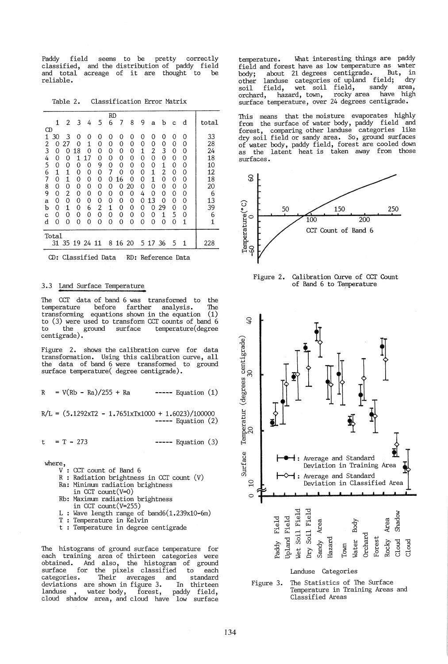Paddy field seems to be pretty correctly classified, and the distribution of paddy field and total acreage of it are thought to be reliable.

Table 2. Classification Error Matrix

|       | RD |    |    |              |    |   |    |    |   |    |       |   |   |  |       |
|-------|----|----|----|--------------|----|---|----|----|---|----|-------|---|---|--|-------|
|       | 1  | 2  | 3  | 4            | 5  | 6 | 7  | 8  | 9 | a  | b     | c | d |  | total |
| CD    |    |    |    |              |    |   |    |    |   |    |       |   |   |  |       |
| 1     | 30 | 3  | 0  | 0            | 0  | 0 | 0  | 0  | 0 | 0  | 0     | 0 | 0 |  | 33    |
| 2     | Ω  | 27 | Ω  | $\mathbf{1}$ | 0  | 0 | 0  | 0  | 0 | 0  | 0     | 0 | 0 |  | 28    |
| 3     | 0  | Ω  | 8  | 0            | 0  | 0 | 0  | 0  | 1 | 2  | 3     | 0 | 0 |  | 24    |
| 4     | 0  | 0  | 1  |              | 0  | 0 | 0  | 0  | 0 | 0  | 0     | 0 | 0 |  | 18    |
| 5     | 0  | 0  | 0  | 0            | 9  | 0 | 0  | 0  | 0 | 0  | 1     | 0 | 0 |  | 10    |
| 6     | 1  | 1  | 0  | 0            | 0  | 7 | 0  | 0  | 0 | 1  | 2     | 0 | 0 |  | 12    |
| 7     | 0  | 1  | 0  | 0            | 0  | Ω | 16 | 0  | 0 | 1  | 0     | 0 | 0 |  | 18    |
| 8     | 0  | 0  | 0  | 0            | 0  | 0 | Ω  | 20 | 0 | ი  | 0     | 0 | 0 |  | 20    |
| 9     | 0  | 2  | 0  | 0            | 0  | 0 | 0  | 0  | 4 | 0  | 0     | 0 | 0 |  | 6     |
| a     | 0  | 0  | 0  | 0            | 0  | 0 | 0  | 0  | 0 | 13 | 0     | 0 | 0 |  | 13    |
| b     | 0  | 1  | 0  | 6            | 2  | 1 | 0  | 0  | 0 | 0  | 29    | 0 | 0 |  | 39    |
| c     | 0  | 0  | 0  | 0            | 0  | 0 | 0  | 0  | 0 | 0  | 1     | 5 | 0 |  | 6     |
| d     | 0  | 0  | 0  | 0            | 0  | 0 | 0  | 0  | 0 | 0  | 0     | 0 | 1 |  | 1     |
| Total |    |    |    |              |    |   |    |    |   |    |       |   |   |  |       |
|       | 31 | 35 | 19 | 24           | 11 | 8 | 16 | 20 | 5 |    | 17 36 | 5 | 1 |  | 228   |

CD: Classified Data RD: Reference Data

### 3.3 Land Surface Temperature

The CCT data of band 6 was transformed to the<br>temperature before farther analysis. The temperature before farther analysis. The<br>transforming equations shown in the equation (1) equations shown in the equation to (3) were used to transform CCT counts of band 6 to the ground surface centigrade).

Figure 2. shows the calibration curve for data transformation. Using this calibration curve, all the data of band 6 were transformed to ground surface temperature( degree centigrade).

$$
R = V(Rb - Ra)/255 + Ra
$$
 \t=-- Equation (1)

 $R/L = (5.1292xT2 - 1.7651xTx1000 + 1.6023)/100000$ ---- Equation (2)

 $t = T - 273$  ----- Equation (3)

where,

- V : CCT count of Band 6
- R : Radiation brightness in CCT count (V)
- Ra: Minimum radiation brightness
- in CCT count(V=O)
- Rb: Maximum radiation brightness
	- in CCT count(V=255)
- : Wave length range of band6(1.239x10-6m)
- T : Temperature in Kelvin
- t Temperature in degree centigrade

The histograms of ground surface temperature for each training area of thirteen categories were obtained. And also, the histogram of ground surface for the pixels classified to each<br>categories. Their averages and standard Their averages and standard<br>shown in figure 3. In thirteen deviations are shown in figure 3. In thirteen landuse , water body, forest, paddy field, cloud shadow area, and cloud have low surface

temperature. What interesting things are paddy field and forest have as low temperature as water<br>body: about 21 degrees centigrade. But, in body; about 21 degrees centigrade. But, in<br>other landuse categories of upland field; dry other landuse categories of upland field; dry<br>soil field, wet soil field, sandy area, soil field, wet soil field, sandy area,<br>orchard, hazard,town, rocky-area have high orchard, hazard, town, surface temperature, over 24 degrees centigrade.

This means that the moisture evaporates highly from the surface of water body, paddy field and forest, comparing other landuse categories like dry soil field or sandy area. So, ground surfaces of water body, paddy field, forest are cooled down as the latent heat is taken away from those as the latent heat is taken away from those<br>surfaces.



Figure 2. Calibration Curve of ccr Count of Band 6 to Temperature



Figure 3. The Statistics of The Surface Temperature in Training Areas and Classified Areas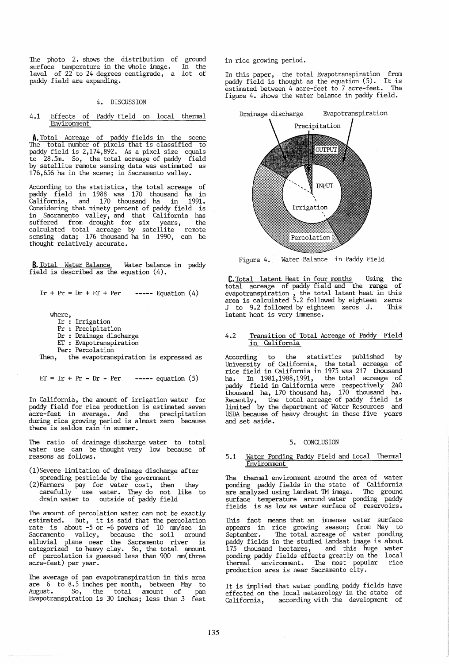The photo 2. shows the distribution of ground surface temperature in the whole image. In the level of 22 to 24 degrees centigrade, a lot of paddy field are expanding.

## 4. DISCUSSION

#### 4.1 Effects of Paddy Field on local thermal Environment

A. Total Acreage of paddy fields in the scene The total number of pixels that is classified to paddy field is 2,174,892. As a pixel size equals to 28.5m. So, the total acreage of paddy field by satellite remote sensing data was estimated as 176,656 ha in the scene; in Sacramento valley.

According to the statistics, the total acreage of paddy field in 1988 was 170 thousand ha in California, and 170 thousand ha in 1991. Considering that ninety percent of paddy field is in Sacramento valley, and that California has suffered from drought for six years, the calculated total acreage by satellite remote sensing data; 176 thousand ha in 1990, can be thought relatively accurate.

**B.** Total Water Balance Water balance in paddy field is described as the equation (4).

Ir +  $Pr = Dr + ET + Per$ **-----** Equation (4)

where,

- Ir: Irrigation
- $\Pr$  : Precipitation
- Dr : Drainage discharge
- IT : Evapotranspiration
- Per: Percolation

Then, the evapotranspiration is expressed as

```
ET = Ir + Pr - Dr - Per ----- equation (5)
```
In California, the amount of irrigation water for<br>paddy field for rice production is estimated seven party-feet in average. And the precipitation during rice growing period is almost zero because there is seldom rain in summer.

The ratio of drainage discharge water to total water use can be thought very low because of reasons as follows.

- (l)Severe limitation of drainage discharge after spreading pesticide by the government
- (2)Farmers pay for water cost, then they carefully use water. They do not like to drain water to outside of paddy field

The amount of percolation water can not be exactly estimated. But, it is said that the percolation rate is about -5 or -6 powers of 10 mm/sec in Sacramento valley, because the soil around alluvial plane near the Sacramento river is categorized to heavy clay. So, the total amount of percolation is guessed less than 900 mm(three acre-feet) per year.

The average of pan evapotranspiration in this area are 6 to 8.5 inches per month, between May to August. So, the total amount of pan Evapotranspiration is 30 inches; less than 3 feet in rice growing period.

In this paper, the total Evapotranspiration from paddy field is thought as the equation (5). It is estimated between 4 acre-feet to 7 acre-feet. The figure 4. shows the water balance in paddy field.



Figure 4. Water Balance in Paddy Field

C. Total Latent Heat in four months Using the total acreage of paddy field and the range of evapotranspiration , the total latent heat in this area is calculated 5.2 followed by eighteen zeros J to 9.2 followed by eighteen zeros J. This latent heat is very immense.

## 4.2 Transition of Total Acreage of Paddy Field in California

According to the statistics published by University of California, the total acreage of rice field in California in 1975 was 217 thousand ha. In 1981,1988,1991, the total acreage of hady field in California were respectively 240 paddy field in California were respectively 240 thousand ha, 170 thousand ha, 170 thousand ha. Recently, the total acreage of paddy field is limited by the department of Water Resources and USDA because of heavy drought in these five years and set aside.

#### 5. CONCLUSION

## 5.1 Water Ponding Paddy Field and Local Thermal Environment

The thermal environment around the area of water<br>ponding paddy fields in the state of California ponding paddy fields in the california are analyzed using Landsat TM image. The ground surface temperature around water ponding paddy fields is as low as water surface of reservoirs.

This fact means that an immense water surface appears in rice growing season; from May to September. The total acreage of water ponding paddy fields in the studied Landsat image is about 175 thousand hectares, and this huge water ponding paddy fields effects greatly on the local thermal environment. The most popular rice production area is near Sacramento city.

It is implied that water ponding paddy fields have effected on the local meteorology in the state of California, according with the development of